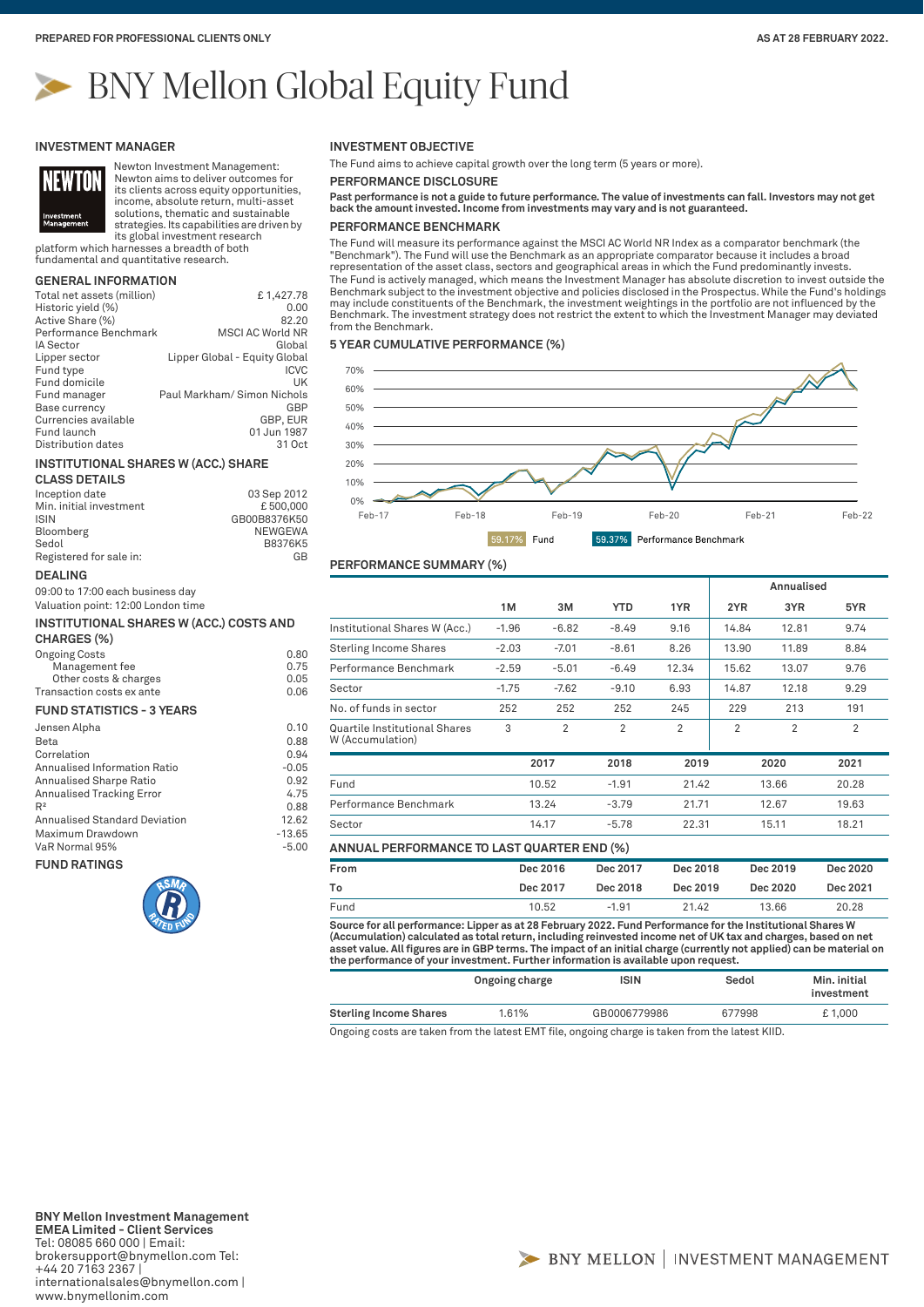# BNY Mellon Global Equity Fund

#### **INVESTMENT MANAGER**



**DEALING**

**CHARGES (%)**

**FUND RATINGS**

Transaction costs ex ante **FUND STATISTICS - 3 YEARS**

09:00 to 17:00 each business day Valuation point: 12:00 London time

Newton Investment Management: Newton aims to deliver outcomes for its clients across equity opportunities, income, absolute return, multi-asset solutions, thematic and sustainable

strategies. Its capabilities are driven by its global investment research

platform which harnesses a breadth of both fundamental and quantitative research.

# **GENERAL INFORMATION**

| Total net assets (million) | £1,427.78                     |
|----------------------------|-------------------------------|
| Historic yield (%)         | 0.00                          |
| Active Share (%)           | 82.20                         |
| Performance Benchmark      | <b>MSCI AC World NR</b>       |
| <b>IA Sector</b>           | Global                        |
| Lipper sector              | Lipper Global - Equity Global |
| Fund type                  | <b>ICVC</b>                   |
| Fund domicile              | UK                            |
| Fund manager               | Paul Markham/ Simon Nichols   |
| Base currency              | GBP                           |
| Currencies available       | GBP, EUR                      |
| Fund launch                | 01 Jun 1987                   |
| Distribution dates         | 31 Oct                        |

#### **INSTITUTIONAL SHARES W (ACC.) SHARE**

| <b>CLASS DETAILS</b>    |              |
|-------------------------|--------------|
| Inception date          | 03 Sep 2012  |
| Min. initial investment | £500,000     |
| <b>ISIN</b>             | GB00B8376K50 |
| Bloomberg               | NEWGEWA      |
| Sedol                   | B8376K5      |
| Registered for sale in: | GB           |

**INSTITUTIONAL SHARES W (ACC.) COSTS AND** 

Ongoing Costs 0.80 Management fee 0.75 Other costs & charges 0.05<br>
nsaction costs ex ante 0.06

Jensen Alpha 0.10 Beta 0.88 Correlation 0.94<br>Annualised Information Ratio 1986 1997 -0.05 Annualised Information Ratio -0.05 Annualised Sharpe Ratio 0.92 Annualised Tracking Error 4.75  $R^2$  0.88 Annualised Standard Deviation 12.62 Maximum Drawdown -13.65 VaR Normal 95% -5.00

# **INVESTMENT OBJECTIVE**

The Fund aims to achieve capital growth over the long term (5 years or more).

**PERFORMANCE DISCLOSURE**

**Past performance is not a guide to future performance. The value of investments can fall. Investors may not get back the amount invested. Income from investments may vary and is not guaranteed.**

# **PERFORMANCE BENCHMARK**

The Fund will measure its performance against the MSCI AC World NR Index as a comparator benchmark (the "Benchmark"). The Fund will use the Benchmark as an appropriate comparator because it includes a broad representation of the asset class, sectors and geographical areas in which the Fund predominantly invests. The Fund is actively managed, which means the Investment Manager has absolute discretion to invest outside the Benchmark subject to the investment objective and policies disclosed in the Prospectus. While the Fund's holdings may include constituents of the Benchmark, the investment weightings in the portfolio are not influenced by the Benchmark. The investment strategy does not restrict the extent to which the Investment Manager may deviated from the Benchmark.

## **5 YEAR CUMULATIVE PERFORMANCE (%)**



# **PERFORMANCE SUMMARY (%)**

|                                                   |         |         |                |                |       | Annualised |                |
|---------------------------------------------------|---------|---------|----------------|----------------|-------|------------|----------------|
|                                                   | 1M      | зм      | <b>YTD</b>     | 1YR.           | 2YR   | 3YR        | 5YR            |
| Institutional Shares W (Acc.)                     | $-1.96$ | $-6.82$ | $-8.49$        | 9.16           | 14.84 | 12.81      | 9.74           |
| <b>Sterling Income Shares</b>                     | $-2.03$ | $-7.01$ | $-8.61$        | 8.26           | 13.90 | 11.89      | 8.84           |
| Performance Benchmark                             | $-2.59$ | $-5.01$ | $-6.49$        | 12.34          | 15.62 | 13.07      | 9.76           |
| Sector                                            | $-1.75$ | $-7.62$ | $-9.10$        | 6.93           | 14.87 | 12.18      | 9.29           |
| No. of funds in sector                            | 252     | 252     | 252            | 245            | 229   | 213        | 191            |
| Quartile Institutional Shares<br>W (Accumulation) | 3       | 2       | $\overline{2}$ | $\overline{2}$ | 2     | 2          | $\overline{2}$ |
|                                                   |         | 2017    | 2018           | 2019           |       | 2020       | 2021           |
| Fund                                              |         | 10.52   | $-1.91$        | 21.42          |       | 13.66      | 20.28          |
| Performance Benchmark                             |         | 13.24   | $-3.79$        | 21.71          |       | 12.67      | 19.63          |
| Sector                                            |         | 14.17   | $-5.78$        | 22.31          |       | 15.11      | 18.21          |

| From | Dec 2016 | Dec 2017 | Dec 2018 | Dec 2019 | Dec 2020 |  |
|------|----------|----------|----------|----------|----------|--|
| To   | Dec 2017 | Dec 2018 | Dec 2019 | Dec 2020 | Dec 2021 |  |
| Fund | 10.52    | $-1.91$  | 21.42    | 13.66    | 20.28    |  |

**Source for all performance: Lipper as at 28 February 2022. Fund Performance for the Institutional Shares W (Accumulation) calculated as total return, including reinvested income net of UK tax and charges, based on net**  asset value. All figures are in GBP terms. The impact of an initial charge (currently not applied) can be material on<br>the performance of your investment. Further information is available upon request.

|                               | Ongoing charge | <b>ISIN</b>  | Sedol  | Min. initial<br>investment |
|-------------------------------|----------------|--------------|--------|----------------------------|
| <b>Sterling Income Shares</b> | 1.61%          | GB0006779986 | 677998 | £1.000                     |

Ongoing costs are taken from the latest EMT file, ongoing charge is taken from the latest KIID.